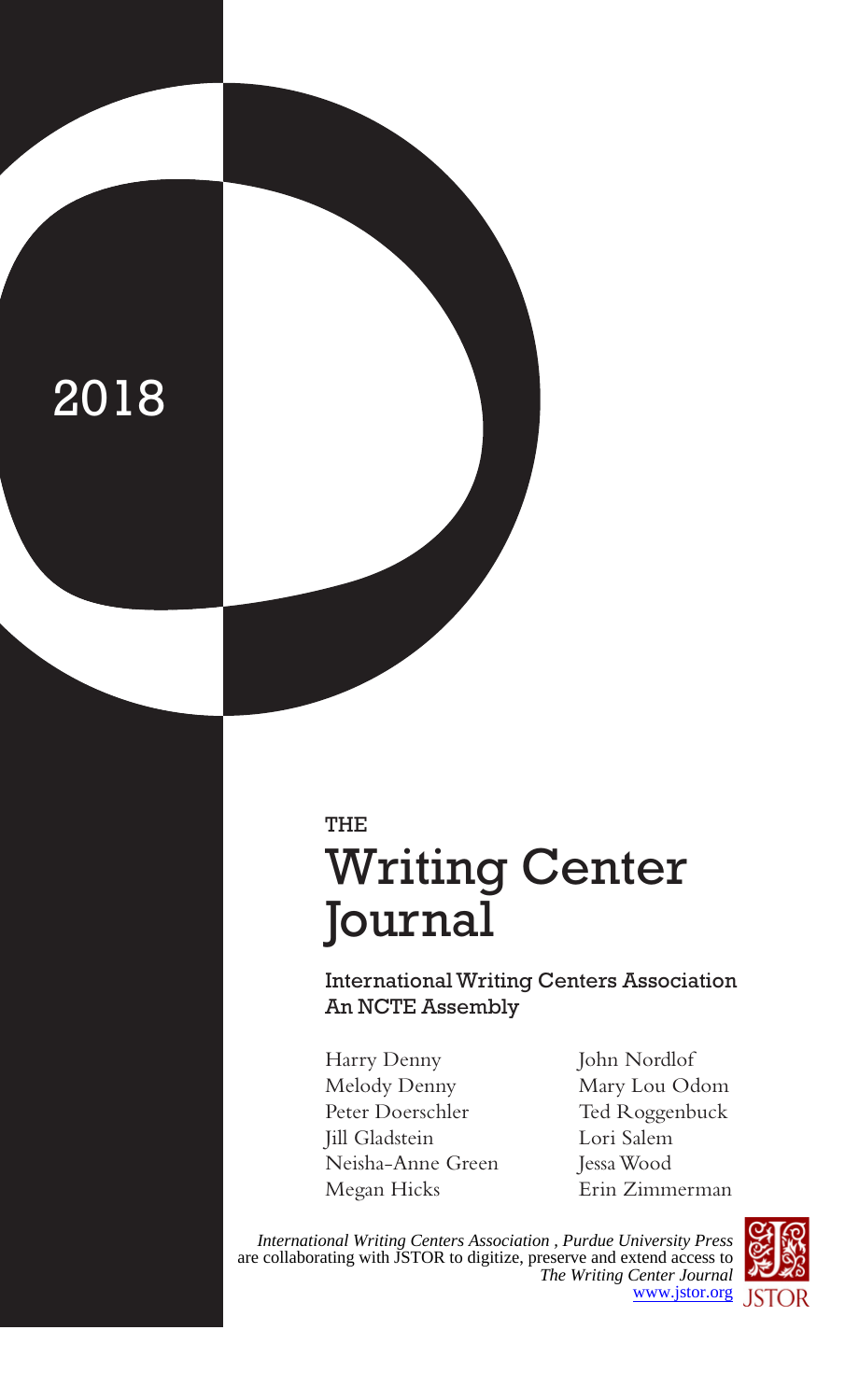# 2018

## THE Writing Center Journal

International Writing Centers Association An NCTE Assembly

- Harry Denny Melody Denny Peter Doerschler Jill Gladstein Neisha-Anne Green Megan Hicks
- John Nordlof Mary Lou Odom Ted Roggenbuck Lori Salem Jessa Wood Erin Zimmerman

*International Writing Centers Association , Purdue University Press* are collaborating with JSTOR to digitize, preserve and extend access to *The Writing Center Journal* [www.jstor.org](https://www.jstor.org) JSTOR

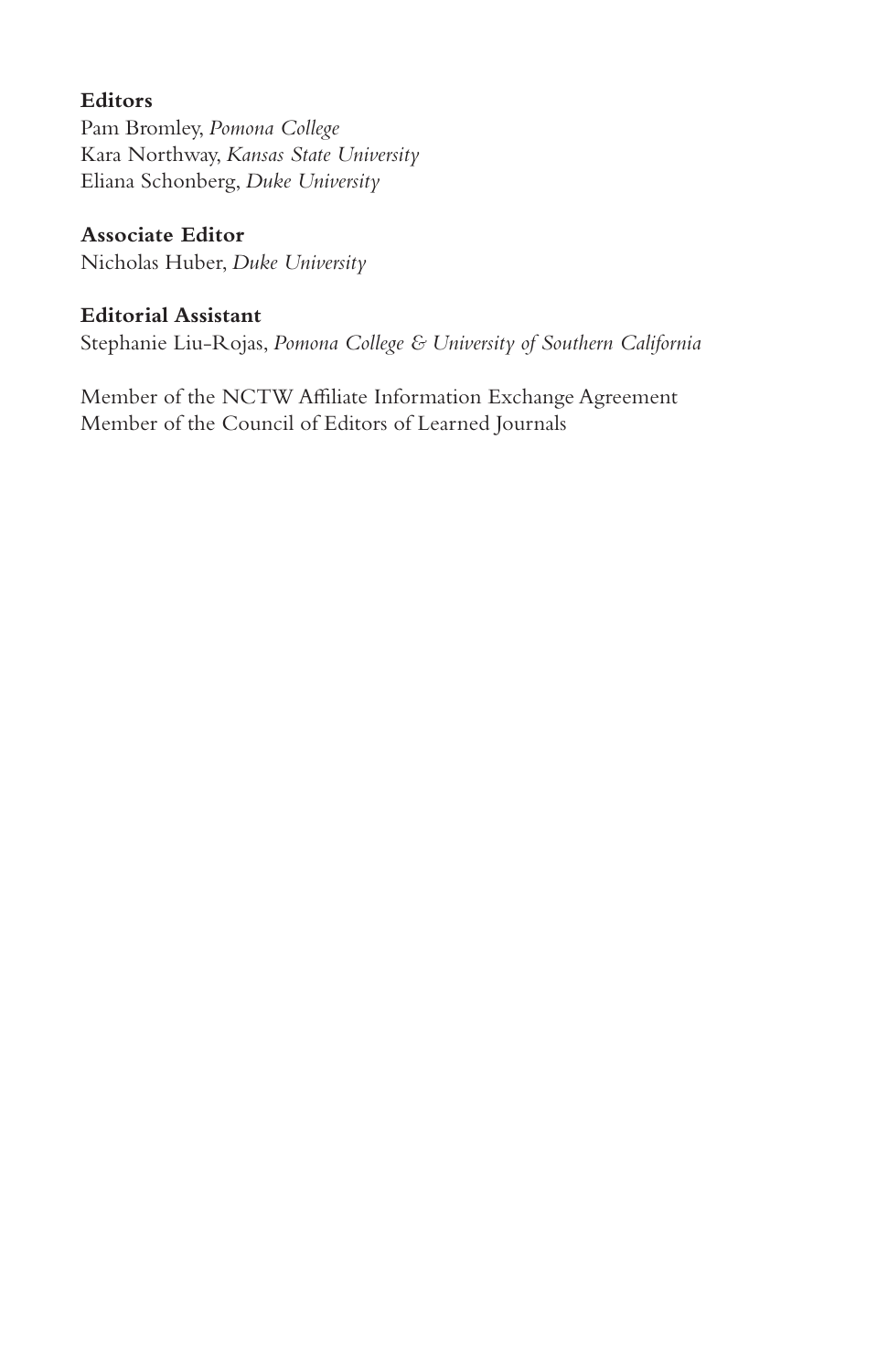## **Editors**

Pam Bromley, *Pomona College* Kara Northway, *Kansas State University* Eliana Schonberg, *Duke University*

## **Associate Editor**

Nicholas Huber, *Duke University*

## **Editorial Assistant**

Stephanie Liu-Rojas, *Pomona College & University of Southern California*

Member of the NCTW Affiliate Information Exchange Agreement Member of the Council of Editors of Learned Journals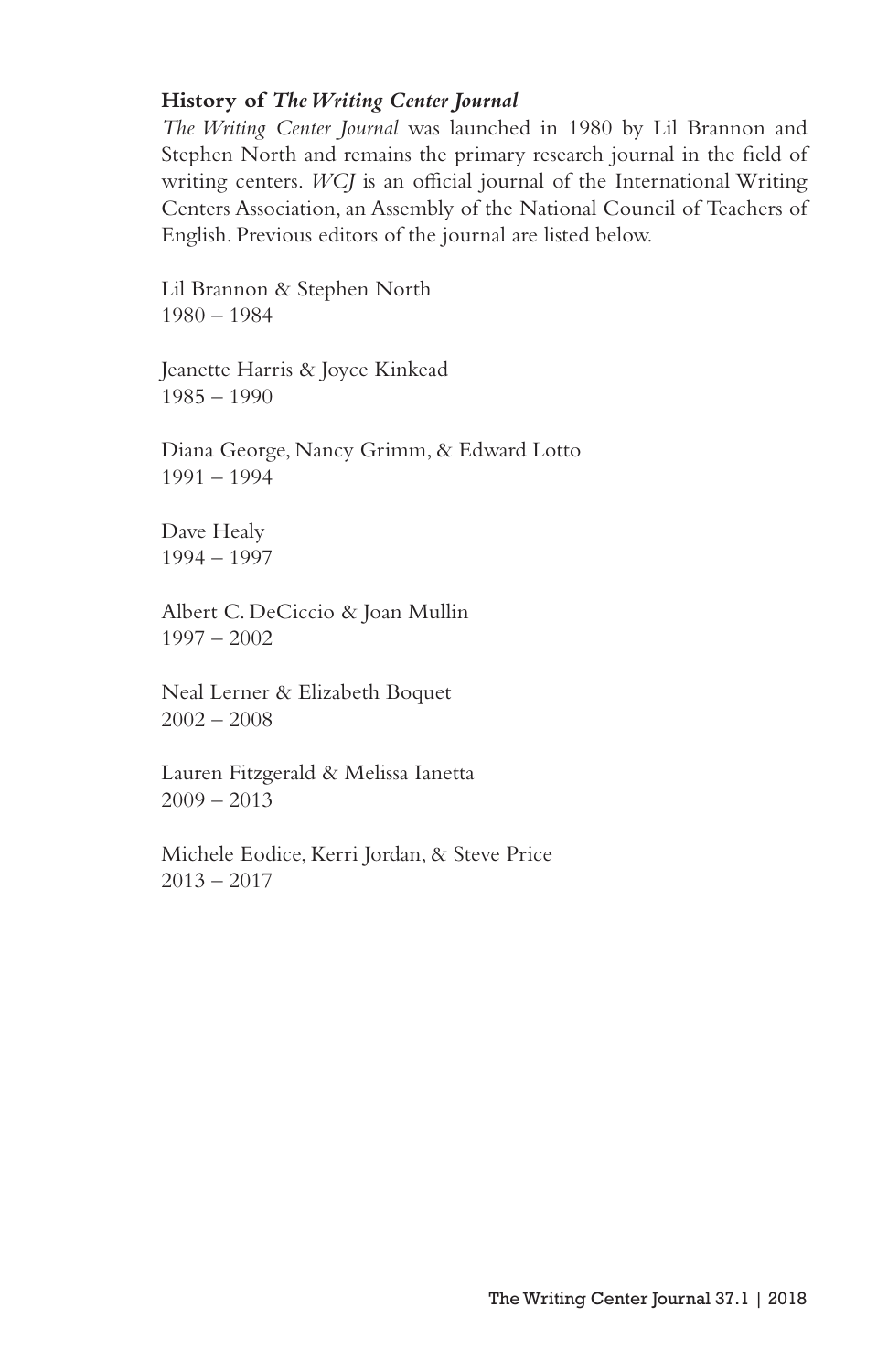#### **History of** *The Writing Center Journal*

*The Writing Center Journal* was launched in 1980 by Lil Brannon and Stephen North and remains the primary research journal in the field of writing centers. *WCJ* is an official journal of the International Writing Centers Association, an Assembly of the National Council of Teachers of English. Previous editors of the journal are listed below.

Lil Brannon & Stephen North 1980 – 1984

Jeanette Harris & Joyce Kinkead 1985 – 1990

Diana George, Nancy Grimm, & Edward Lotto 1991 – 1994

Dave Healy 1994 – 1997

Albert C. DeCiccio & Joan Mullin 1997 – 2002

Neal Lerner & Elizabeth Boquet  $2002 - 2008$ 

Lauren Fitzgerald & Melissa Ianetta  $2009 - 2013$ 

Michele Eodice, Kerri Jordan, & Steve Price  $2013 - 2017$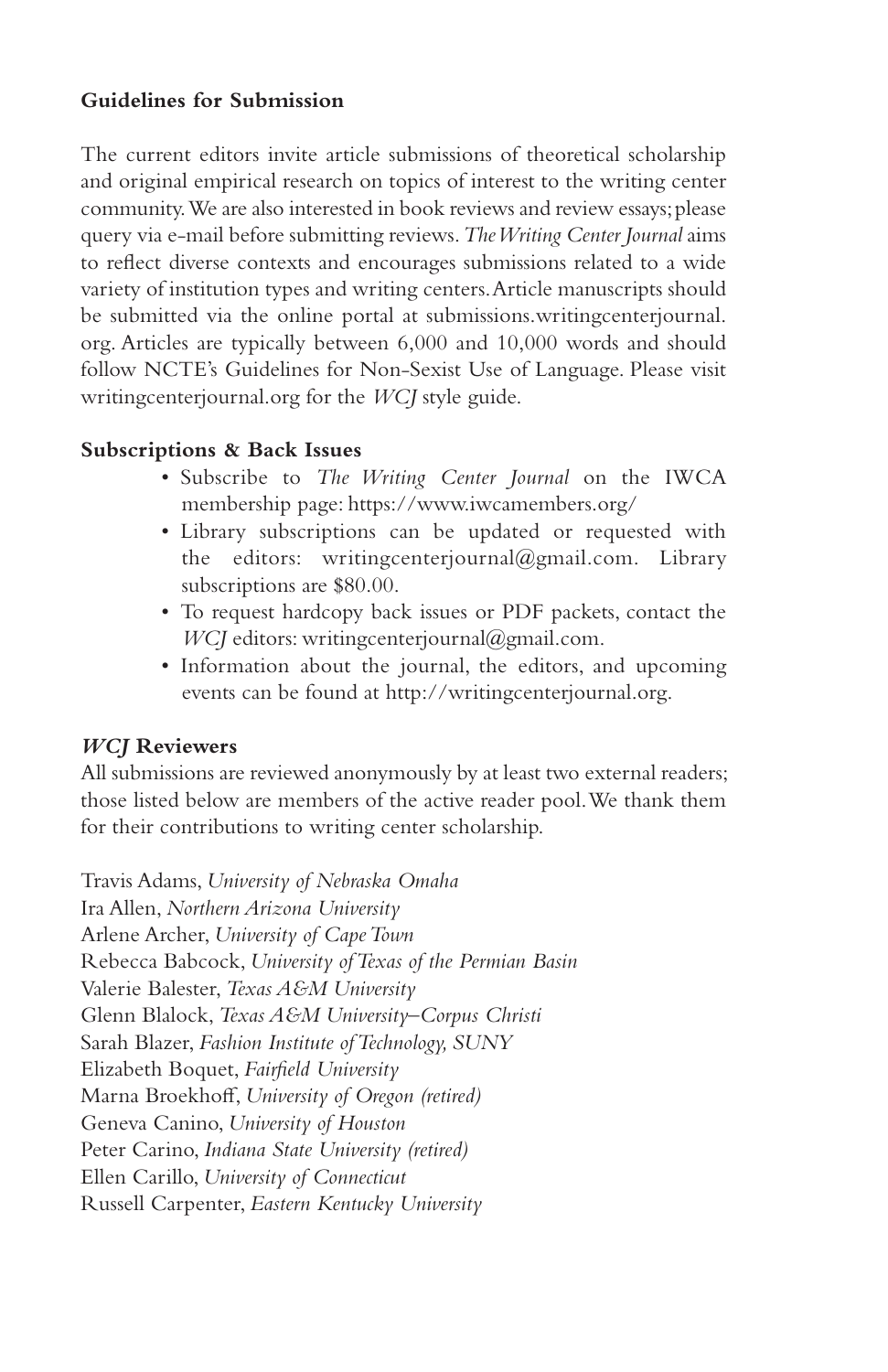### **Guidelines for Submission**

The current editors invite article submissions of theoretical scholarship and original empirical research on topics of interest to the writing center community. We are also interested in book reviews and review essays; please query via e-mail before submitting reviews. *The Writing Center Journal* aims to reflect diverse contexts and encourages submissions related to a wide variety of institution types and writing centers. Article manuscripts should be submitted via the online portal at submissions.writingcenterjournal. org. Articles are typically between 6,000 and 10,000 words and should follow NCTE's Guidelines for Non-Sexist Use of Language. Please visit writingcenterjournal.org for the *WCJ* style guide.

#### **Subscriptions & Back Issues**

- Subscribe to *The Writing Center Journal* on the IWCA membership page: https://www.iwcamembers.org/
- Library subscriptions can be updated or requested with the editors: writingcenterjournal@gmail.com. Library subscriptions are \$80.00.
- To request hardcopy back issues or PDF packets, contact the *WCJ* editors: writingcenterjournal@gmail.com.
- Information about the journal, the editors, and upcoming events can be found at http://writingcenterjournal.org.

### *WCJ* **Reviewers**

All submissions are reviewed anonymously by at least two external readers; those listed below are members of the active reader pool. We thank them for their contributions to writing center scholarship.

Travis Adams, *University of Nebraska Omaha* Ira Allen, *Northern Arizona University* Arlene Archer, *University of Cape Town* Rebecca Babcock, *University of Texas of the Permian Basin*  Valerie Balester, *Texas A&M University*  Glenn Blalock, *Texas A&M University–Corpus Christi*  Sarah Blazer, *Fashion Institute of Technology, SUNY* Elizabeth Boquet, *Fairfield University*  Marna Broekhoff, *University of Oregon (retired)* Geneva Canino, *University of Houston* Peter Carino, *Indiana State University (retired)*  Ellen Carillo, *University of Connecticut* Russell Carpenter, *Eastern Kentucky University*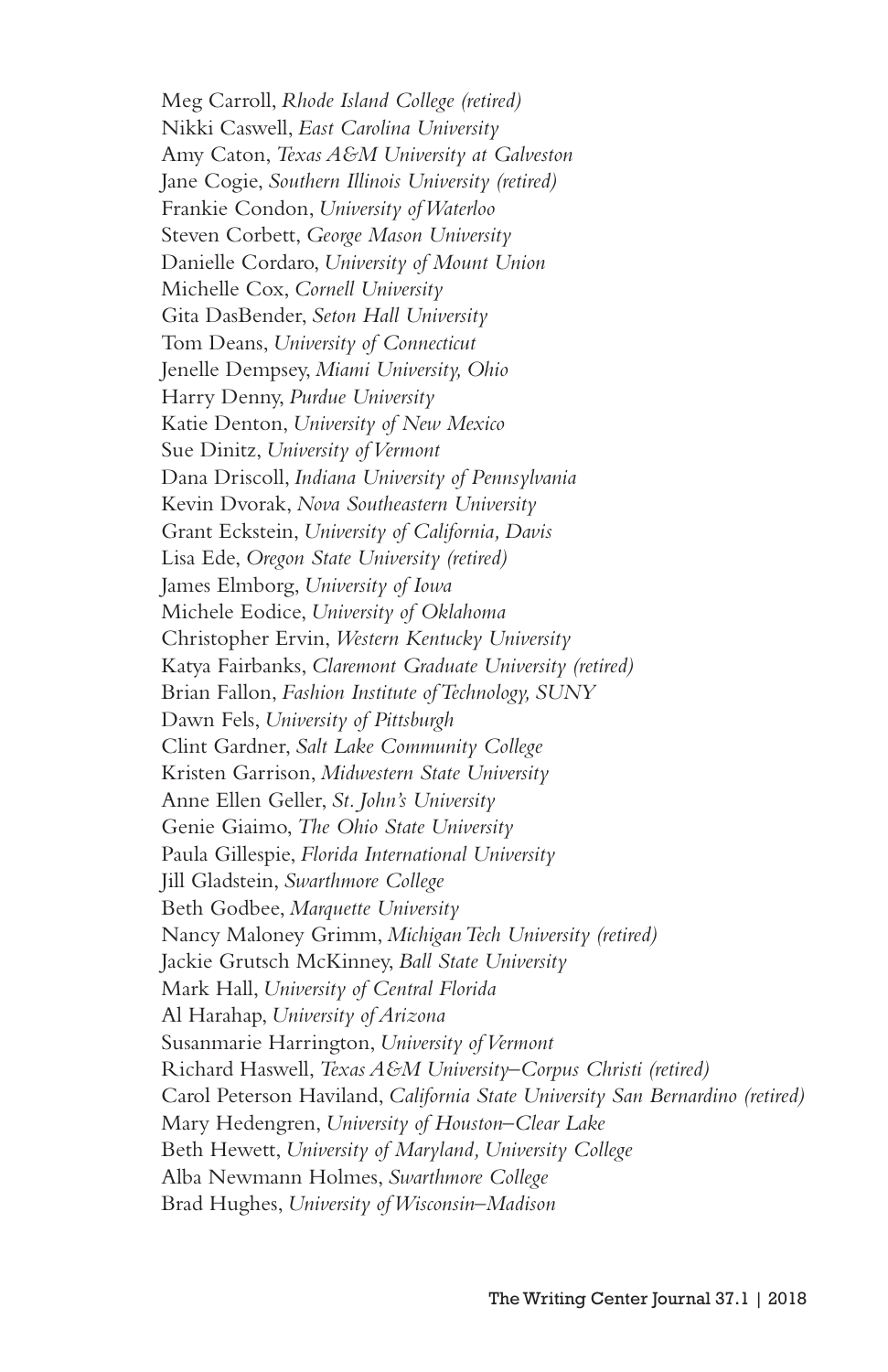Meg Carroll, *Rhode Island College (retired)*  Nikki Caswell, *East Carolina University* Amy Caton, *Texas A&M University at Galveston* Jane Cogie, *Southern Illinois University (retired)* Frankie Condon, *University of Waterloo*  Steven Corbett, *George Mason University*  Danielle Cordaro, *University of Mount Union* Michelle Cox, *Cornell University* Gita DasBender, *Seton Hall University* Tom Deans, *University of Connecticut* Jenelle Dempsey, *Miami University, Ohio* Harry Denny, *Purdue University*  Katie Denton, *University of New Mexico*  Sue Dinitz, *University of Vermont*  Dana Driscoll, *Indiana University of Pennsylvania* Kevin Dvorak, *Nova Southeastern University* Grant Eckstein, *University of California, Davis* Lisa Ede, *Oregon State University (retired)*  James Elmborg, *University of Iowa*  Michele Eodice, *University of Oklahoma* Christopher Ervin, *Western Kentucky University*  Katya Fairbanks, *Claremont Graduate University (retired)* Brian Fallon, *Fashion Institute of Technology, SUNY*  Dawn Fels, *University of Pittsburgh* Clint Gardner, *Salt Lake Community College*  Kristen Garrison, *Midwestern State University*  Anne Ellen Geller, *St. John's University*  Genie Giaimo, *The Ohio State University* Paula Gillespie, *Florida International University*  Jill Gladstein, *Swarthmore College*  Beth Godbee, *Marquette University*  Nancy Maloney Grimm, *Michigan Tech University (retired)*  Jackie Grutsch McKinney, *Ball State University*  Mark Hall, *University of Central Florida*  Al Harahap, *University of Arizona*  Susanmarie Harrington, *University of Vermont*  Richard Haswell, *Texas A&M University–Corpus Christi (retired)*  Carol Peterson Haviland, *California State University San Bernardino (retired)*  Mary Hedengren, *University of Houston–Clear Lake* Beth Hewett, *University of Maryland, University College*  Alba Newmann Holmes, *Swarthmore College* Brad Hughes, *University of Wisconsin–Madison*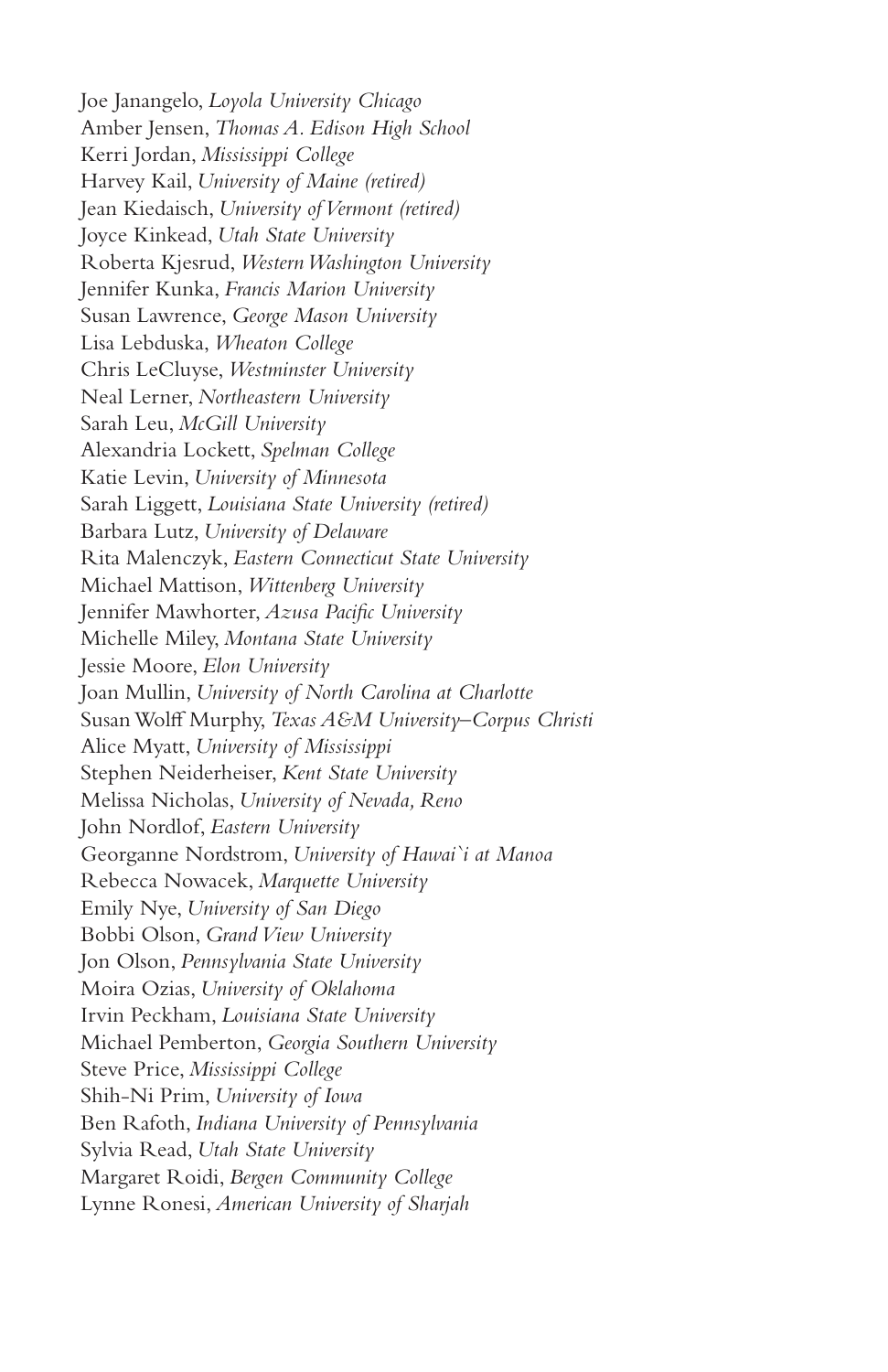Joe Janangelo, *Loyola University Chicago*  Amber Jensen, *Thomas A. Edison High School* Kerri Jordan, *Mississippi College* Harvey Kail, *University of Maine (retired)*  Jean Kiedaisch, *University of Vermont (retired)*  Joyce Kinkead, *Utah State University*  Roberta Kjesrud, *Western Washington University*  Jennifer Kunka, *Francis Marion University* Susan Lawrence, *George Mason University* Lisa Lebduska, *Wheaton College*  Chris LeCluyse, *Westminster University*  Neal Lerner, *Northeastern University*  Sarah Leu, *McGill University* Alexandria Lockett, *Spelman College* Katie Levin, *University of Minnesota*  Sarah Liggett, *Louisiana State University (retired)*  Barbara Lutz, *University of Delaware*  Rita Malenczyk, *Eastern Connecticut State University*  Michael Mattison, *Wittenberg University*  Jennifer Mawhorter, *Azusa Pacific University* Michelle Miley, *Montana State University*  Jessie Moore, *Elon University*  Joan Mullin, *University of North Carolina at Charlotte*  Susan Wolff Murphy, *Texas A&M University–Corpus Christi*  Alice Myatt, *University of Mississippi*  Stephen Neiderheiser, *Kent State University* Melissa Nicholas, *University of Nevada, Reno*  John Nordlof, *Eastern University*  Georganne Nordstrom, *University of Hawai`i at Manoa* Rebecca Nowacek, *Marquette University*  Emily Nye, *University of San Diego* Bobbi Olson, *Grand View University* Jon Olson, *Pennsylvania State University*  Moira Ozias, *University of Oklahoma*  Irvin Peckham, *Louisiana State University* Michael Pemberton, *Georgia Southern University*  Steve Price, *Mississippi College* Shih-Ni Prim, *University of Iowa* Ben Rafoth, *Indiana University of Pennsylvania*  Sylvia Read, *Utah State University*  Margaret Roidi, *Bergen Community College* Lynne Ronesi, *American University of Sharjah*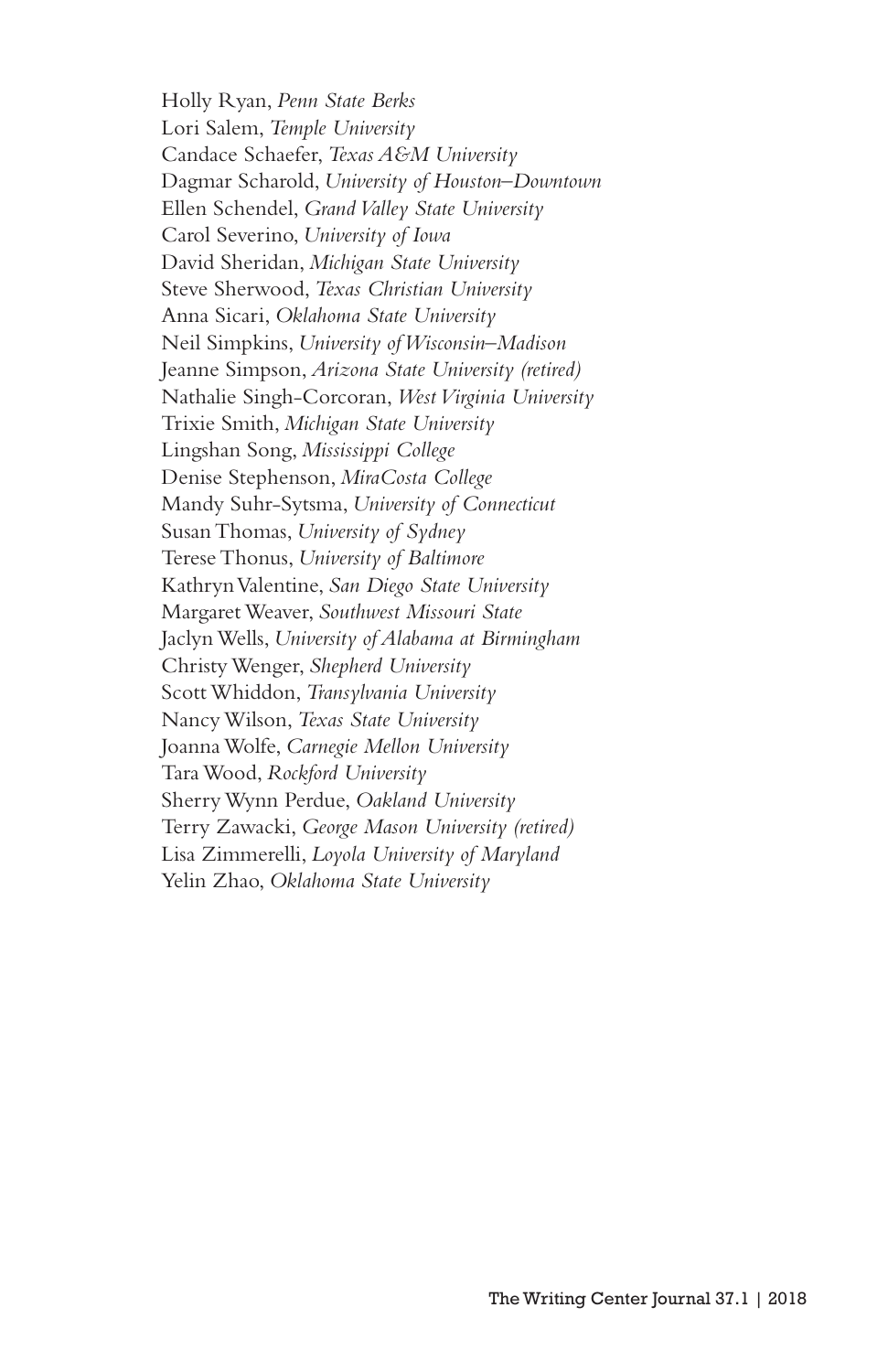Holly Ryan, *Penn State Berks* Lori Salem, *Temple University*  Candace Schaefer, *Texas A&M University*  Dagmar Scharold, *University of Houston–Downtown* Ellen Schendel, *Grand Valley State University* Carol Severino, *University of Iowa*  David Sheridan, *Michigan State University*  Steve Sherwood, *Texas Christian University*  Anna Sicari, *Oklahoma State University* Neil Simpkins, *University of Wisconsin–Madison* Jeanne Simpson, *Arizona State University (retired)*  Nathalie Singh-Corcoran, *West Virginia University* Trixie Smith, *Michigan State University* Lingshan Song, *Mississippi College*  Denise Stephenson, *MiraCosta College* Mandy Suhr-Sytsma, *University of Connecticut*  Susan Thomas, *University of Sydney*  Terese Thonus, *University of Baltimore* Kathryn Valentine, *San Diego State University*  Margaret Weaver, *Southwest Missouri State*  Jaclyn Wells, *University of Alabama at Birmingham* Christy Wenger, *Shepherd University*  Scott Whiddon, *Transylvania University* Nancy Wilson, *Texas State University*  Joanna Wolfe, *Carnegie Mellon University*  Tara Wood, *Rockford University*  Sherry Wynn Perdue, *Oakland University*  Terry Zawacki, *George Mason University (retired)*  Lisa Zimmerelli, *Loyola University of Maryland* Yelin Zhao, *Oklahoma State University*